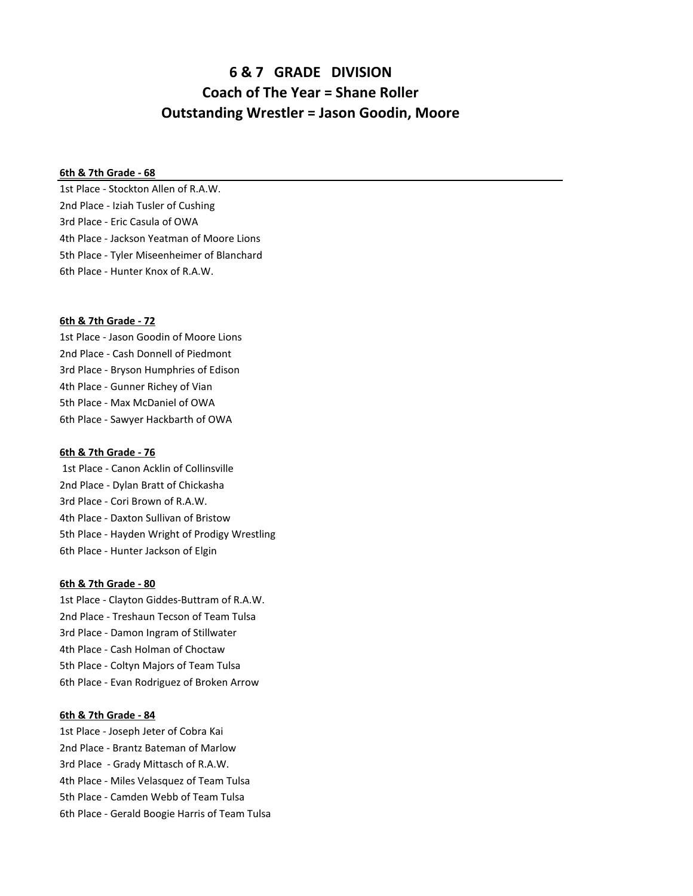# **6 & 7 GRADE DIVISION Coach of The Year = Shane Roller Outstanding Wrestler = Jason Goodin, Moore**

### **6th & 7th Grade - 68**

1st Place - Stockton Allen of R.A.W. 2nd Place - Iziah Tusler of Cushing 3rd Place - Eric Casula of OWA 4th Place - Jackson Yeatman of Moore Lions 5th Place - Tyler Miseenheimer of Blanchard 6th Place - Hunter Knox of R.A.W.

#### **6th & 7th Grade - 72**

1st Place - Jason Goodin of Moore Lions 2nd Place - Cash Donnell of Piedmont 3rd Place - Bryson Humphries of Edison 4th Place - Gunner Richey of Vian 5th Place - Max McDaniel of OWA 6th Place - Sawyer Hackbarth of OWA

#### **6th & 7th Grade - 76**

 1st Place - Canon Acklin of Collinsville 2nd Place - Dylan Bratt of Chickasha 3rd Place - Cori Brown of R.A.W. 4th Place - Daxton Sullivan of Bristow 5th Place - Hayden Wright of Prodigy Wrestling 6th Place - Hunter Jackson of Elgin

#### **6th & 7th Grade - 80**

1st Place - Clayton Giddes-Buttram of R.A.W. 2nd Place - Treshaun Tecson of Team Tulsa 3rd Place - Damon Ingram of Stillwater 4th Place - Cash Holman of Choctaw 5th Place - Coltyn Majors of Team Tulsa 6th Place - Evan Rodriguez of Broken Arrow

## **6th & 7th Grade - 84**

- 1st Place Joseph Jeter of Cobra Kai
- 2nd Place Brantz Bateman of Marlow
- 3rd Place Grady Mittasch of R.A.W.
- 4th Place Miles Velasquez of Team Tulsa
- 5th Place Camden Webb of Team Tulsa
- 6th Place Gerald Boogie Harris of Team Tulsa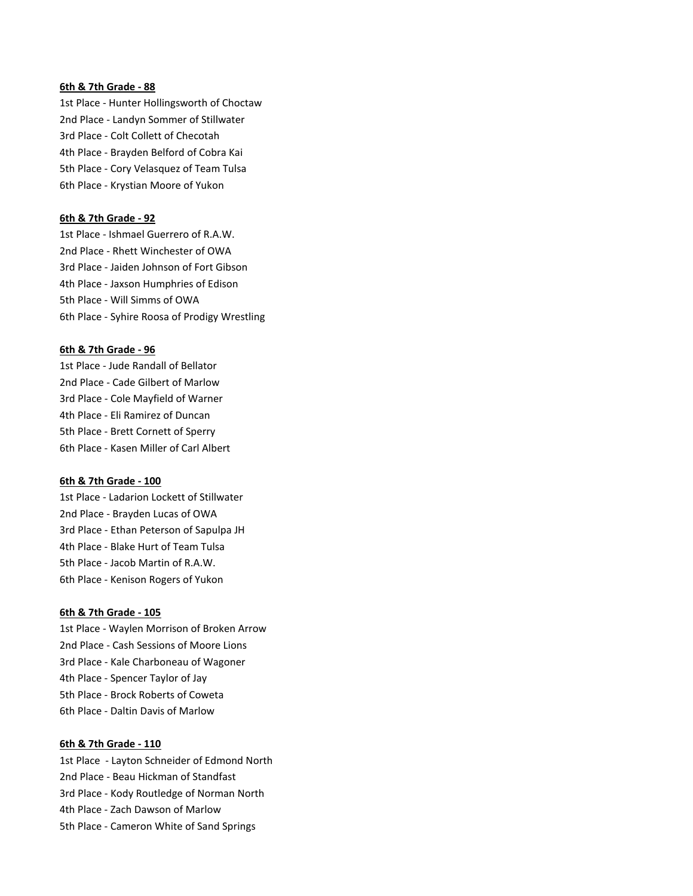# **6th & 7th Grade - 88**

1st Place - Hunter Hollingsworth of Choctaw 2nd Place - Landyn Sommer of Stillwater 3rd Place - Colt Collett of Checotah 4th Place - Brayden Belford of Cobra Kai 5th Place - Cory Velasquez of Team Tulsa 6th Place - Krystian Moore of Yukon

### **6th & 7th Grade - 92**

1st Place - Ishmael Guerrero of R.A.W. 2nd Place - Rhett Winchester of OWA 3rd Place - Jaiden Johnson of Fort Gibson 4th Place - Jaxson Humphries of Edison 5th Place - Will Simms of OWA 6th Place - Syhire Roosa of Prodigy Wrestling

# **6th & 7th Grade - 96**

1st Place - Jude Randall of Bellator 2nd Place - Cade Gilbert of Marlow 3rd Place - Cole Mayfield of Warner 4th Place - Eli Ramirez of Duncan 5th Place - Brett Cornett of Sperry 6th Place - Kasen Miller of Carl Albert

#### **6th & 7th Grade - 100**

1st Place - Ladarion Lockett of Stillwater 2nd Place - Brayden Lucas of OWA 3rd Place - Ethan Peterson of Sapulpa JH 4th Place - Blake Hurt of Team Tulsa 5th Place - Jacob Martin of R.A.W. 6th Place - Kenison Rogers of Yukon

# **6th & 7th Grade - 105**

1st Place - Waylen Morrison of Broken Arrow 2nd Place - Cash Sessions of Moore Lions 3rd Place - Kale Charboneau of Wagoner 4th Place - Spencer Taylor of Jay 5th Place - Brock Roberts of Coweta 6th Place - Daltin Davis of Marlow

## **6th & 7th Grade - 110**

1st Place - Layton Schneider of Edmond North 2nd Place - Beau Hickman of Standfast 3rd Place - Kody Routledge of Norman North 4th Place - Zach Dawson of Marlow 5th Place - Cameron White of Sand Springs